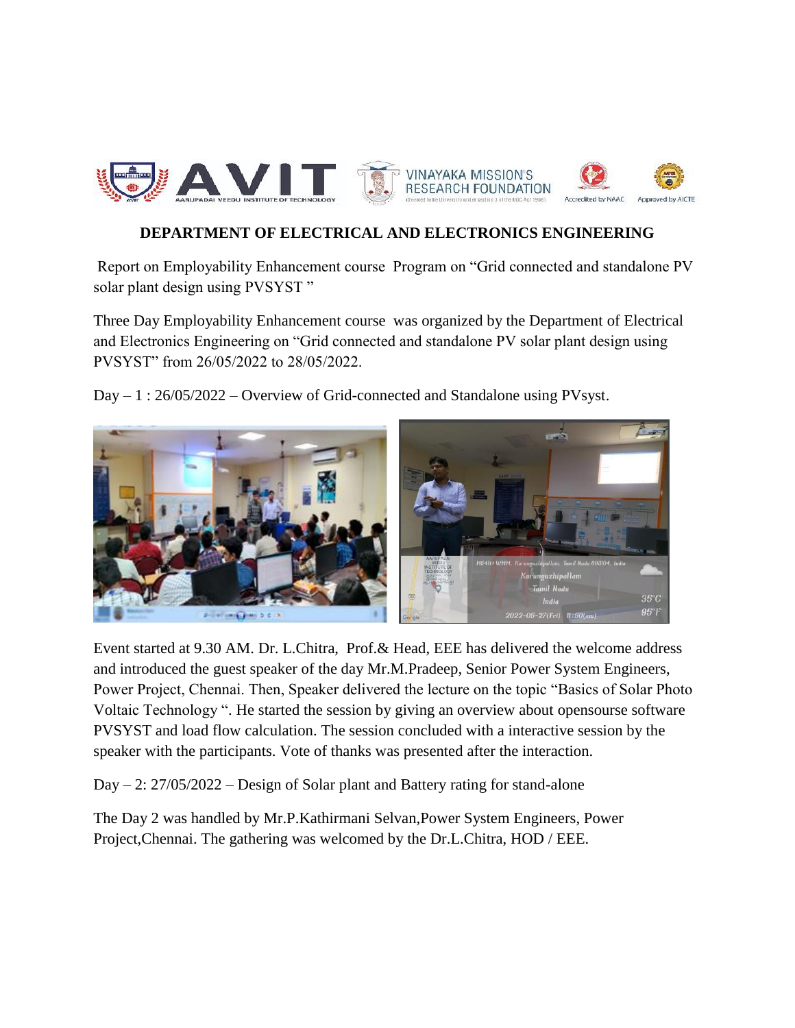

## **DEPARTMENT OF ELECTRICAL AND ELECTRONICS ENGINEERING**

Report on Employability Enhancement course Program on "Grid connected and standalone PV solar plant design using PVSYST"

Three Day Employability Enhancement course was organized by the Department of Electrical and Electronics Engineering on "Grid connected and standalone PV solar plant design using PVSYST" from 26/05/2022 to 28/05/2022.

Day – 1 : 26/05/2022 – Overview of Grid-connected and Standalone using PVsyst.



Event started at 9.30 AM. Dr. L.Chitra, Prof.& Head, EEE has delivered the welcome address and introduced the guest speaker of the day Mr.M.Pradeep, Senior Power System Engineers, Power Project, Chennai. Then, Speaker delivered the lecture on the topic "Basics of Solar Photo Voltaic Technology ". He started the session by giving an overview about opensourse software PVSYST and load flow calculation. The session concluded with a interactive session by the speaker with the participants. Vote of thanks was presented after the interaction.

Day – 2: 27/05/2022 – Design of Solar plant and Battery rating for stand-alone

The Day 2 was handled by Mr.P.Kathirmani Selvan,Power System Engineers, Power Project, Chennai. The gathering was welcomed by the Dr.L.Chitra, HOD / EEE.